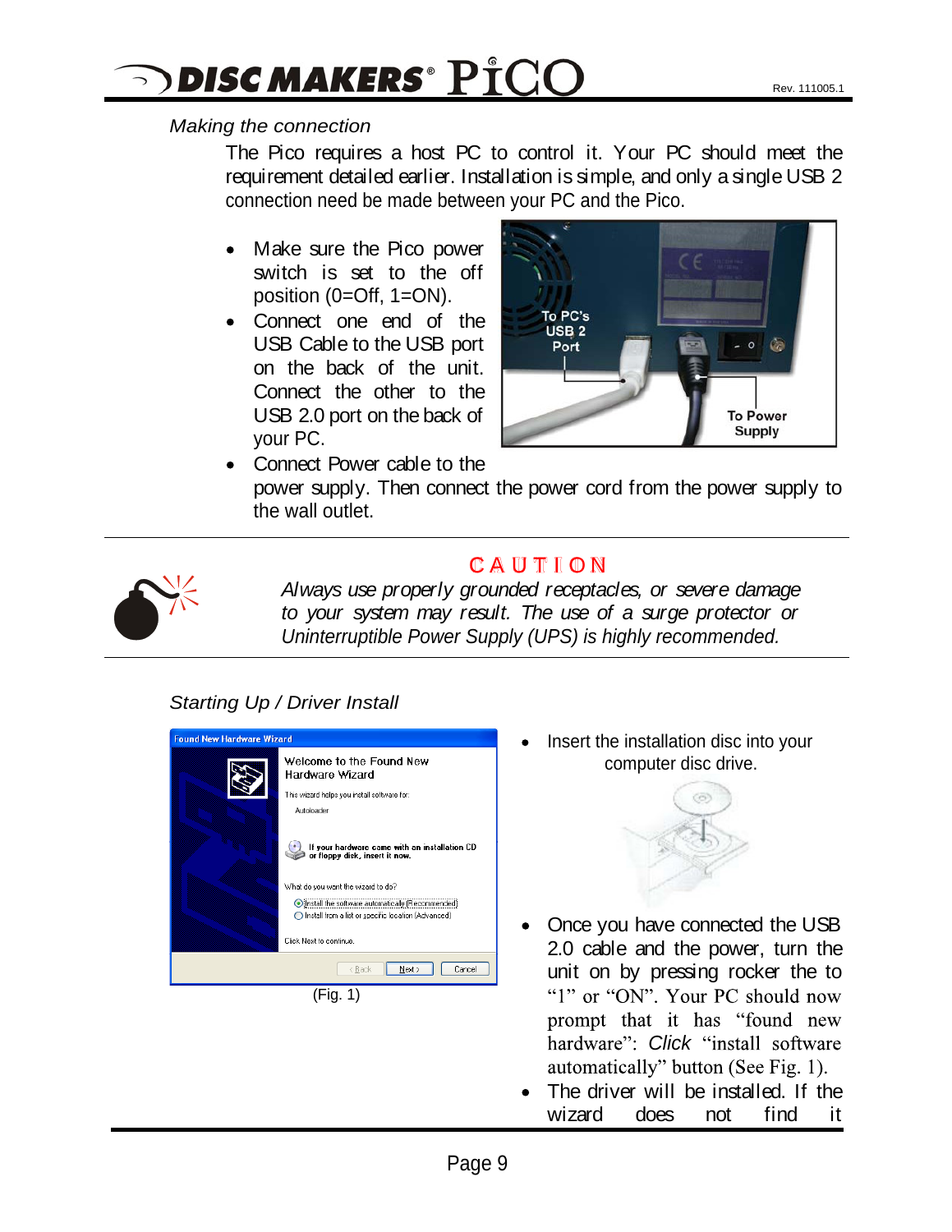## $\alpha$  DISC MAKERS $^\circ$   $\rm P^{\ast}CO$

## Making the connection

The Pico requires a host PC to control it. Your PC should meet the requirement detailed earlier. Installation is simple, and only a single USB 2 connection need be made between your PC and the Pico.

- Make sure the Pico power switch is set to the off position (0=Off, 1=ON).
- Connect one end of the Topc's on the back of the unit.



Connect Power cable to the power supply. Then connect the power cord from the power supply to the wall outlet.



## C A U T I O N

Always use properly grounded receptacles, or severe damage to your system may result. The use of a surge protector or Uninterruptible Power Supply (UPS) is highly recommended.

## Starting Up / Driver Install

| <b>Found New Hardware Wizard</b> |                                                                                                                    |  |
|----------------------------------|--------------------------------------------------------------------------------------------------------------------|--|
|                                  | Welcome to the Found New<br>Hardware Wizard                                                                        |  |
|                                  | This wizard helps you install software for:                                                                        |  |
|                                  | Autoloader                                                                                                         |  |
|                                  | If your hardware came with an installation CD<br>or floppy disk, insert it now.                                    |  |
|                                  | What do you want the wizard to do?                                                                                 |  |
|                                  | <b>O Install the software automatically (Recommended)</b><br>◯ Install from a list or specific location (Advanced) |  |
|                                  | Click Next to continue.                                                                                            |  |
|                                  | < Back<br>Next ><br>Cancel                                                                                         |  |
|                                  | (Fig. 1)                                                                                                           |  |

Insert the installation disc into your computer disc drive.



- Once you have connected the USB 2.0 cable and the power, turn the unit on by pressing rocker the to "1" or "ON". Your PC should now prompt that it has "found new hardware": Click "install software automatically" button (See Fig. 1).
- The driver will be installed. If the wizard does not find it